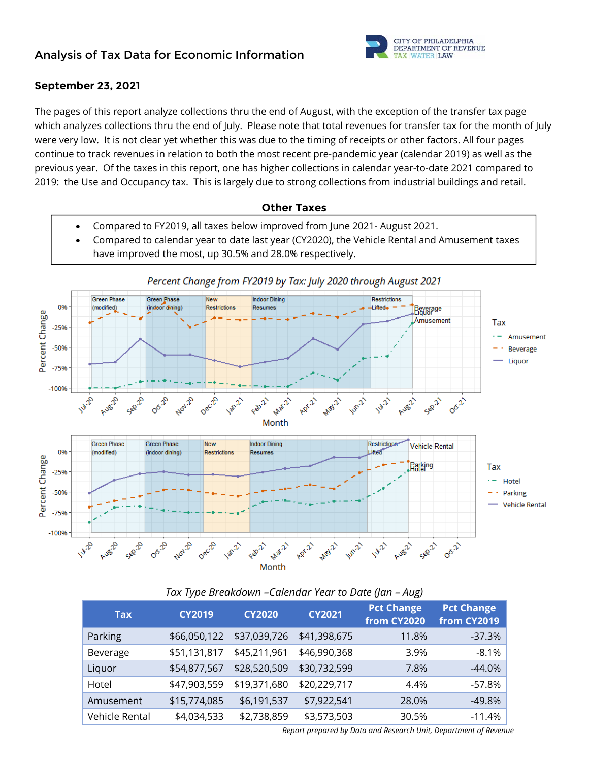

## **September 23, 2021**

The pages of this report analyze collections thru the end of August, with the exception of the transfer tax page which analyzes collections thru the end of July. Please note that total revenues for transfer tax for the month of July were very low. It is not clear yet whether this was due to the timing of receipts or other factors. All four pages continue to track revenues in relation to both the most recent pre-pandemic year (calendar 2019) as well as the previous year. Of the taxes in this report, one has higher collections in calendar year-to-date 2021 compared to 2019: the Use and Occupancy tax. This is largely due to strong collections from industrial buildings and retail.

#### **Other Taxes**

- Compared to FY2019, all taxes below improved from June 2021- August 2021.
- Compared to calendar year to date last year (CY2020), the Vehicle Rental and Amusement taxes have improved the most, up 30.5% and 28.0% respectively.



## *Tax Type Breakdown –Calendar Year to Date (Jan – Aug)*

| Tax            | <b>CY2019</b> | <b>CY2020</b> | <b>CY2021</b> | <b>Pct Change</b><br>from CY2020 | <b>Pct Change</b><br>from CY2019 |
|----------------|---------------|---------------|---------------|----------------------------------|----------------------------------|
| Parking        | \$66,050,122  | \$37,039,726  | \$41,398,675  | 11.8%                            | $-37.3%$                         |
| Beverage       | \$51,131,817  | \$45,211,961  | \$46,990,368  | 3.9%                             | $-8.1\%$                         |
| Liquor         | \$54,877,567  | \$28,520,509  | \$30,732,599  | 7.8%                             | $-44.0%$                         |
| Hotel          | \$47,903,559  | \$19,371,680  | \$20,229,717  | 4.4%                             | $-57.8%$                         |
| Amusement      | \$15,774,085  | \$6,191,537   | \$7,922,541   | 28.0%                            | $-49.8%$                         |
| Vehicle Rental | \$4,034,533   | \$2,738,859   | \$3,573,503   | 30.5%                            | $-11.4%$                         |

*Report prepared by Data and Research Unit, Department of Revenue*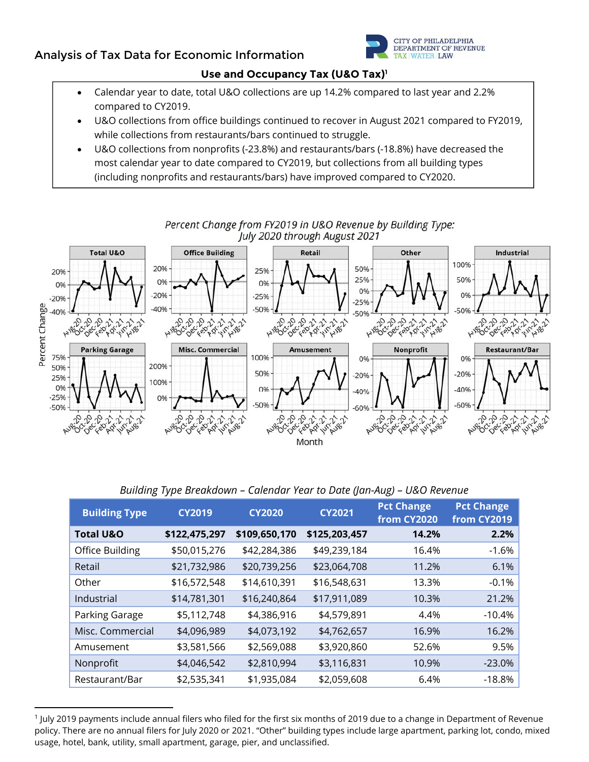## **Analysis of Tax Data for Economic Information**



#### **Use and Occupancy Tax (U&O Tax)1**

- Calendar year to date, total U&O collections are up 14.2% compared to last year and 2.2% compared to CY2019.
- U&O collections from office buildings continued to recover in August 2021 compared to FY2019, while collections from restaurants/bars continued to struggle.
- U&O collections from nonprofits (-23.8%) and restaurants/bars (-18.8%) have decreased the most calendar year to date compared to CY2019, but collections from all building types (including nonprofits and restaurants/bars) have improved compared to CY2020.



Percent Change from FY2019 in U&O Revenue by Building Type:

|  |  |  | Building Type Breakdown - Calendar Year to Date (Jan-Aug) - U&O Revenue |
|--|--|--|-------------------------------------------------------------------------|
|  |  |  |                                                                         |
|  |  |  |                                                                         |

| <b>Building Type</b><br><b>CY2019</b> |               | <b>CY2020</b> | <b>CY2021</b> | <b>Pct Change</b><br>from CY2020 | <b>Pct Change</b><br>from CY2019 |  |
|---------------------------------------|---------------|---------------|---------------|----------------------------------|----------------------------------|--|
| <b>Total U&amp;O</b>                  | \$122,475,297 | \$109,650,170 | \$125,203,457 | 14.2%                            | 2.2%                             |  |
| Office Building                       | \$50,015,276  | \$42,284,386  | \$49,239,184  | 16.4%                            | $-1.6%$                          |  |
| Retail                                | \$21,732,986  | \$20,739,256  | \$23,064,708  | 11.2%                            | 6.1%                             |  |
| Other                                 | \$16,572,548  | \$14,610,391  | \$16,548,631  | 13.3%                            | $-0.1%$                          |  |
| Industrial                            | \$14,781,301  | \$16,240,864  | \$17,911,089  | 10.3%                            | 21.2%                            |  |
| Parking Garage                        | \$5,112,748   | \$4,386,916   | \$4,579,891   | 4.4%                             | $-10.4%$                         |  |
| Misc. Commercial                      | \$4,096,989   | \$4,073,192   | \$4,762,657   | 16.9%                            | 16.2%                            |  |
| Amusement                             | \$3,581,566   | \$2,569,088   | \$3,920,860   | 52.6%                            | 9.5%                             |  |
| Nonprofit                             | \$4,046,542   | \$2,810,994   | \$3,116,831   | 10.9%                            | $-23.0%$                         |  |
| Restaurant/Bar                        | \$2,535,341   | \$1,935,084   | \$2,059,608   | 6.4%                             | $-18.8%$                         |  |

<sup>1</sup> July 2019 payments include annual filers who filed for the first six months of 2019 due to a change in Department of Revenue policy. There are no annual filers for July 2020 or 2021. "Other" building types include large apartment, parking lot, condo, mixed usage, hotel, bank, utility, small apartment, garage, pier, and unclassified.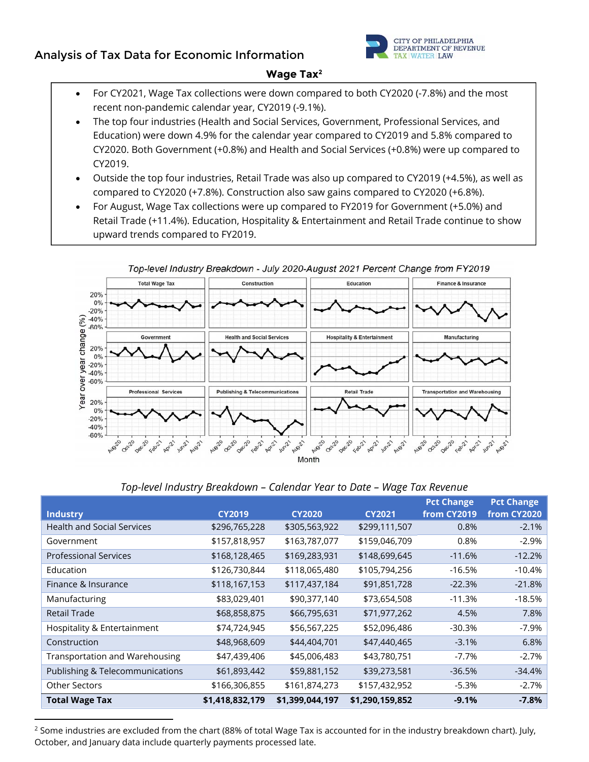# **Analysis of Tax Data for Economic Information**



#### **Wage Tax2**

- For CY2021, Wage Tax collections were down compared to both CY2020 (-7.8%) and the most recent non-pandemic calendar year, CY2019 (-9.1%).
- The top four industries (Health and Social Services, Government, Professional Services, and Education) were down 4.9% for the calendar year compared to CY2019 and 5.8% compared to CY2020. Both Government (+0.8%) and Health and Social Services (+0.8%) were up compared to CY2019.
- Outside the top four industries, Retail Trade was also up compared to CY2019 (+4.5%), as well as compared to CY2020 (+7.8%). Construction also saw gains compared to CY2020 (+6.8%).
- For August, Wage Tax collections were up compared to FY2019 for Government (+5.0%) and Retail Trade (+11.4%). Education, Hospitality & Entertainment and Retail Trade continue to show upward trends compared to FY2019.



Top-level Industry Breakdown - July 2020-August 2021 Percent Change from FY2019

|  | Top-level Industry Breakdown – Calendar Year to Date – Wage Tax Revenue |  |  |
|--|-------------------------------------------------------------------------|--|--|

| <b>Industry</b>                       | <b>CY2019</b>   | <b>CY2020</b>   | <b>CY2021</b>   | <b>Pct Change</b><br>from CY2019 | <b>Pct Change</b><br>from CY2020 |
|---------------------------------------|-----------------|-----------------|-----------------|----------------------------------|----------------------------------|
| <b>Health and Social Services</b>     | \$296,765,228   | \$305,563,922   | \$299,111,507   | 0.8%                             | $-2.1%$                          |
| Government                            | \$157,818,957   | \$163,787,077   | \$159,046,709   | 0.8%                             | $-2.9%$                          |
| <b>Professional Services</b>          | \$168,128,465   | \$169,283,931   | \$148,699,645   | $-11.6%$                         | $-12.2%$                         |
| Education                             | \$126,730,844   | \$118,065,480   | \$105,794,256   | $-16.5%$                         | $-10.4%$                         |
| Finance & Insurance                   | \$118,167,153   | \$117,437,184   | \$91,851,728    | $-22.3%$                         | $-21.8%$                         |
| Manufacturing                         | \$83,029,401    | \$90,377,140    | \$73,654,508    | $-11.3%$                         | $-18.5%$                         |
| <b>Retail Trade</b>                   | \$68,858,875    | \$66,795,631    | \$71,977,262    | 4.5%                             | 7.8%                             |
| Hospitality & Entertainment           | \$74,724,945    | \$56,567,225    | \$52,096,486    | $-30.3%$                         | -7.9%                            |
| Construction                          | \$48,968,609    | \$44,404,701    | \$47,440,465    | $-3.1%$                          | 6.8%                             |
| <b>Transportation and Warehousing</b> | \$47,439,406    | \$45,006,483    | \$43,780,751    | $-7.7%$                          | $-2.7%$                          |
| Publishing & Telecommunications       | \$61,893,442    | \$59,881,152    | \$39,273,581    | $-36.5%$                         | $-34.4%$                         |
| <b>Other Sectors</b>                  | \$166,306,855   | \$161,874,273   | \$157,432,952   | $-5.3%$                          | $-2.7%$                          |
| <b>Total Wage Tax</b>                 | \$1,418,832,179 | \$1,399,044,197 | \$1,290,159,852 | $-9.1%$                          | $-7.8%$                          |

<sup>&</sup>lt;sup>2</sup> Some industries are excluded from the chart (88% of total Wage Tax is accounted for in the industry breakdown chart). July, October, and January data include quarterly payments processed late.